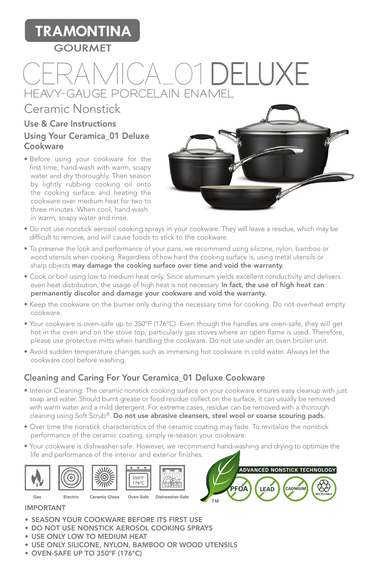## **TRAMONTINA**

#### **GOURMET**

# CERAMICA 01**DELUXE HEAVY-GAUGE PORCELAIN ENAMEL**

### Ceramic Nonstick

#### Use & Care Instructions Using Your Ceramica\_01 Deluxe Cookware

• Before using your cookware for the first time, hand-wash with warm, soapy water and dry thoroughly. Then season by lightly rubbing cooking oil onto the cooking surface and heating the cookware over medium heat for two to three minutes. When cool, hand-wash in warm, soapy water and rinse.



- Do not use nonstick aerosol cooking sprays in your cookware. They will leave a residue, which may be difficult to remove, and will cause foods to stick to the cookware.
- To preserve the look and performance of your pans, we recommend using silicone, nylon, bamboo or wood utensils when cooking. Regardless of how hard the cooking surface is, using metal utensils or sharp objects may damage the cooking surface over time and void the warranty.
- Cook or boil using low to medium heat only. Since aluminum yields excellent conductivity and delivers even heat distribution, the usage of high heat is not necessary. In fact, the use of high heat can permanently discolor and damage your cookware and void the warranty.
- Keep the cookware on the burner only during the necessary time for cooking. Do not overheat empty cookware.
- Your cookware is oven-safe up to 350ºF (176ºC). Even though the handles are oven-safe, they will get hot in the oven and on the stove top, particularly gas stoves where an open flame is used. Therefore, please use protective mitts when handling the cookware. Do not use under an oven broiler unit.
- Avoid sudden temperature changes such as immersing hot cookware in cold water. Always let the cookware cool before washing.

#### Cleaning and Caring For Your Ceramica\_01 Deluxe Cookware

- Interior Cleaning: The ceramic nonstick cooking surface on your cookware ensures easy cleanup with just soap and water. Should burnt grease or food residue collect on the surface, it can usually be removed with warm water and a mild detergent. For extreme cases, residue can be removed with a thorough cleaning using Soft Scrub®. Do not use abrasive cleansers, steel wool or coarse scouring pads.
- Over time the nonstick characteristics of the ceramic coating may fade. To revitalize the nonstick performance of the ceramic coating, simply re-season your cookware.
- Your cookware is dishwasher-safe. However, we recommend hand-washing and drying to optimize the life and performance of the interior and exterior finishes.















#### IMPORTANT

- SEASON YOUR COOKWARE BEFORE ITS FIRST USE
- DO NOT USE NONSTICK AEROSOL COOKING SPRAYS
- USE ONLY LOW TO MEDIUM HEAT
- USE ONLY SILICONE, NYLON, BAMBOO OR WOOD UTENSILS
- OVEN-SAFE UP TO 350ºF (176ºC)